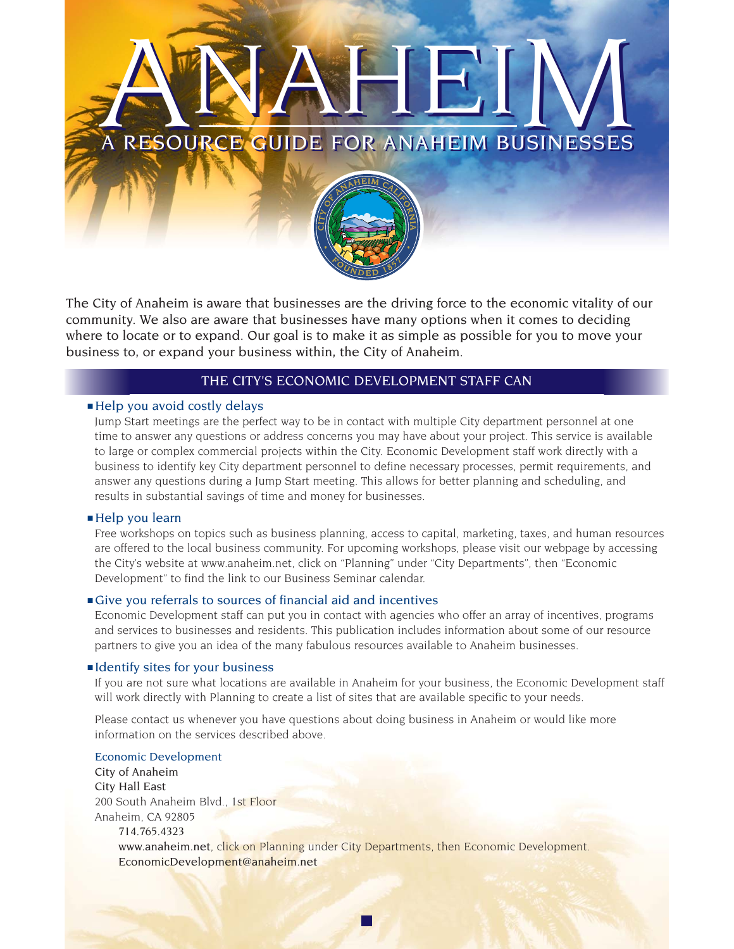

The City of Anaheim is aware that businesses are the driving force to the economic vitality of our community. We also are aware that businesses have many options when it comes to deciding where to locate or to expand. Our goal is to make it as simple as possible for you to move your business to, or expand your business within, the City of Anaheim.

# THE CITY'S ECONOMIC DEVELOPMENT STAFF CAN

# ■ Help you avoid costly delays

Jump Start meetings are the perfect way to be in contact with multiple City department personnel at one time to answer any questions or address concerns you may have about your project. This service is available to large or complex commercial projects within the City. Economic Development staff work directly with a business to identify key City department personnel to define necessary processes, permit requirements, and answer any questions during a Jump Start meeting. This allows for better planning and scheduling, and results in substantial savings of time and money for businesses.

# ■ Help you learn

Free workshops on topics such as business planning, access to capital, marketing, taxes, and human resources are offered to the local business community. For upcoming workshops, please visit our webpage by accessing the City's website at www.anaheim.net, click on "Planning" under "City Departments", then "Economic Development" to find the link to our Business Seminar calendar.

# ■ Give you referrals to sources of financial aid and incentives

Economic Development staff can put you in contact with agencies who offer an array of incentives, programs and services to businesses and residents. This publication includes information about some of our resource partners to give you an idea of the many fabulous resources available to Anaheim businesses.

#### ■ Identify sites for your business

If you are not sure what locations are available in Anaheim for your business, the Economic Development staff will work directly with Planning to create a list of sites that are available specific to your needs.

Please contact us whenever you have questions about doing business in Anaheim or would like more information on the services described above.

# Economic Development

City of Anaheim City Hall East 200 South Anaheim Blvd., 1st Floor Anaheim, CA 92805 714.765.4323 www.anaheim.net, click on Planning under City Departments, then Economic Development. EconomicDevelopment@anaheim.net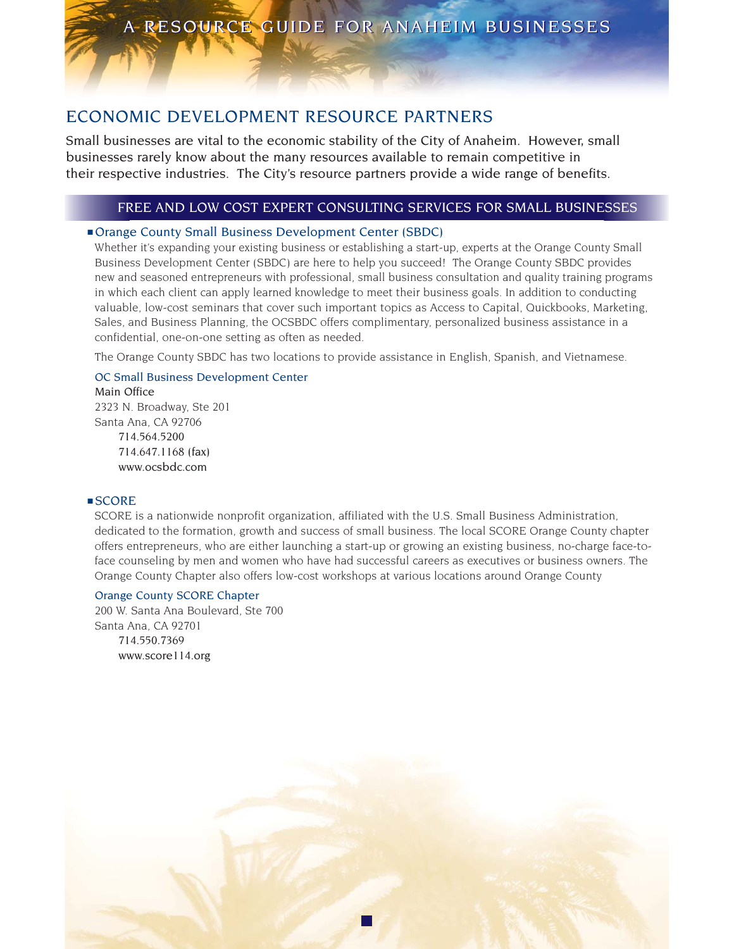# ECONOMIC DEVELOPMENT RESOURCE PARTNERS

Small businesses are vital to the economic stability of the City of Anaheim. However, small businesses rarely know about the many resources available to remain competitive in their respective industries. The City's resource partners provide a wide range of benefits.

# FREE AND LOW COST EXPERT CONSULTING SERVICES FOR SMALL BUSINESSES

# ■ Orange County Small Business Development Center (SBDC)

Whether it's expanding your existing business or establishing a start-up, experts at the Orange County Small Business Development Center (SBDC) are here to help you succeed! The Orange County SBDC provides new and seasoned entrepreneurs with professional, small business consultation and quality training programs in which each client can apply learned knowledge to meet their business goals. In addition to conducting valuable, low-cost seminars that cover such important topics as Access to Capital, Quickbooks, Marketing, Sales, and Business Planning, the OCSBDC offers complimentary, personalized business assistance in a confidential, one-on-one setting as often as needed.

The Orange County SBDC has two locations to provide assistance in English, Spanish, and Vietnamese.

# OC Small Business Development Center

Main Office 2323 N. Broadway, Ste 201 Santa Ana, CA 92706 714.564.5200 714.647.1168 (fax) www.ocsbdc.com

# ■ SCORE

SCORE is a nationwide nonprofit organization, affiliated with the U.S. Small Business Administration, dedicated to the formation, growth and success of small business. The local SCORE Orange County chapter offers entrepreneurs, who are either launching a start-up or growing an existing business, no-charge face-toface counseling by men and women who have had successful careers as executives or business owners. The Orange County Chapter also offers low-cost workshops at various locations around Orange County

# Orange County SCORE Chapter

200 W. Santa Ana Boulevard, Ste 700 Santa Ana, CA 92701 714.550.7369 www.score114.org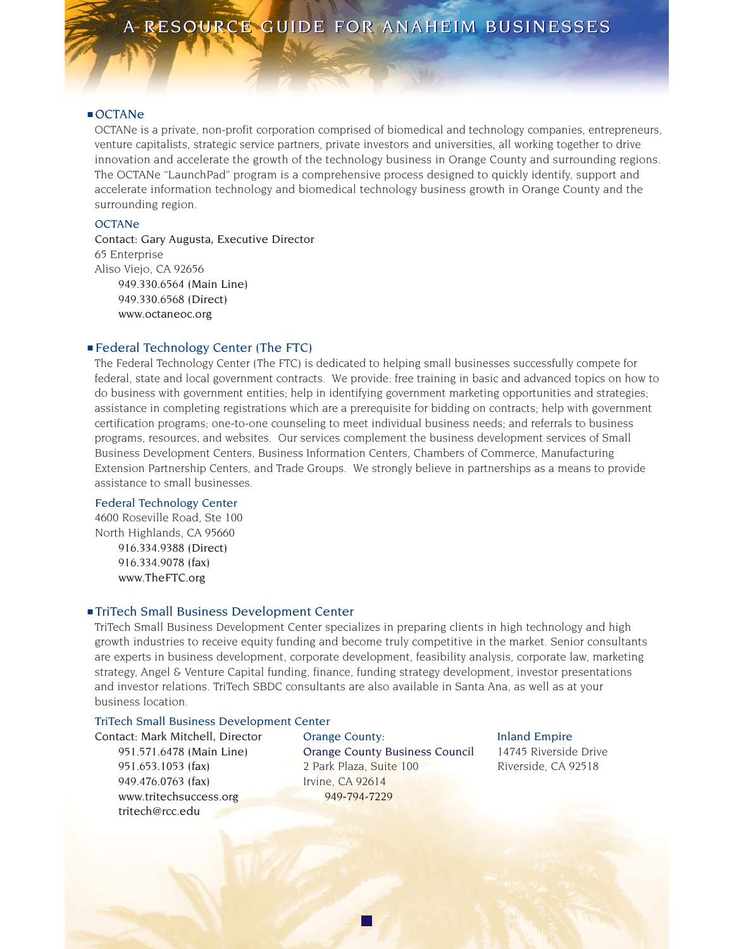#### ■ OCTANe

OCTANe is a private, non-profit corporation comprised of biomedical and technology companies, entrepreneurs, venture capitalists, strategic service partners, private investors and universities, all working together to drive innovation and accelerate the growth of the technology business in Orange County and surrounding regions. The OCTANe "LaunchPad" program is a comprehensive process designed to quickly identify, support and accelerate information technology and biomedical technology business growth in Orange County and the surrounding region.

### **OCTANe**

Contact: Gary Augusta, Executive Director 65 Enterprise Aliso Viejo, CA 92656 949.330.6564 (Main Line) 949.330.6568 (Direct) www.octaneoc.org

#### ■ Federal Technology Center (The FTC)

The Federal Technology Center (The FTC) is dedicated to helping small businesses successfully compete for federal, state and local government contracts. We provide: free training in basic and advanced topics on how to do business with government entities; help in identifying government marketing opportunities and strategies; assistance in completing registrations which are a prerequisite for bidding on contracts; help with government certification programs; one-to-one counseling to meet individual business needs; and referrals to business programs, resources, and websites. Our services complement the business development services of Small Business Development Centers, Business Information Centers, Chambers of Commerce, Manufacturing Extension Partnership Centers, and Trade Groups. We strongly believe in partnerships as a means to provide assistance to small businesses.

#### Federal Technology Center

4600 Roseville Road, Ste 100 North Highlands, CA 95660 916.334.9388 (Direct) 916.334.9078 (fax) www.TheFTC.org

#### ■ TriTech Small Business Development Center

TriTech Small Business Development Center specializes in preparing clients in high technology and high growth industries to receive equity funding and become truly competitive in the market. Senior consultants are experts in business development, corporate development, feasibility analysis, corporate law, marketing strategy, Angel & Venture Capital funding, finance, funding strategy development, investor presentations and investor relations. TriTech SBDC consultants are also available in Santa Ana, as well as at your business location.

#### TriTech Small Business Development Center

Contact: Mark Mitchell, Director Orange County: Inland Empire 949.476.0763 (fax) Irvine, CA 92614 www.tritechsuccess.org 949-794-7229 tritech@rcc.edu

951.571.6478 (Main Line) Orange County Business Council 14745 Riverside Drive 951.653.1053 (fax) 2 Park Plaza, Suite 100 Riverside, CA 92518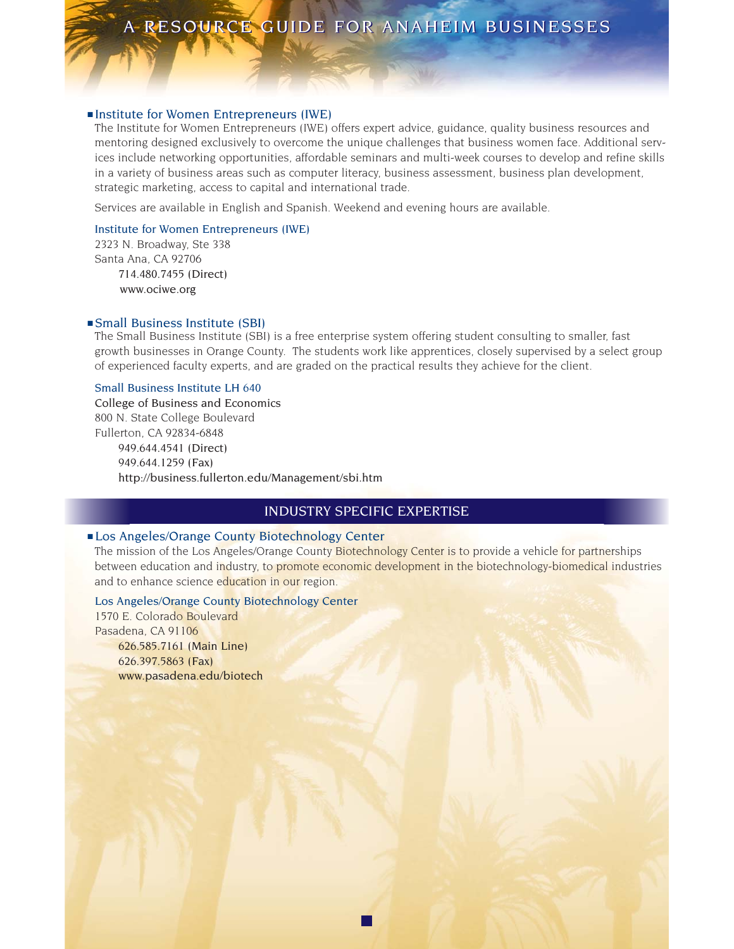#### ■ Institute for Women Entrepreneurs (IWE)

The Institute for Women Entrepreneurs (IWE) offers expert advice, guidance, quality business resources and mentoring designed exclusively to overcome the unique challenges that business women face. Additional services include networking opportunities, affordable seminars and multi-week courses to develop and refine skills in a variety of business areas such as computer literacy, business assessment, business plan development, strategic marketing, access to capital and international trade.

Services are available in English and Spanish. Weekend and evening hours are available.

#### Institute for Women Entrepreneurs (IWE)

2323 N. Broadway, Ste 338 Santa Ana, CA 92706 714.480.7455 (Direct) www.ociwe.org

#### ■ Small Business Institute (SBI)

The Small Business Institute (SBI) is a free enterprise system offering student consulting to smaller, fast growth businesses in Orange County. The students work like apprentices, closely supervised by a select group of experienced faculty experts, and are graded on the practical results they achieve for the client.

#### Small Business Institute LH 640

College of Business and Economics 800 N. State College Boulevard Fullerton, CA 92834-6848 949.644.4541 (Direct) 949.644.1259 (Fax) http://business.fullerton.edu/Management/sbi.htm

# INDUSTRY SPECIFIC EXPERTISE

### ■ Los Angeles/Orange County Biotechnology Center

The mission of the Los Angeles/Orange County Biotechnology Center is to provide a vehicle for partnerships between education and industry, to promote economic development in the biotechnology-biomedical industries and to enhance science education in our region.

### Los Angeles/Orange County Biotechnology Center

1570 E. Colorado Boulevard Pasadena, CA 91106 626.585.7161 (Main Line) 626.397.5863 (Fax) www.pasadena.edu/biotech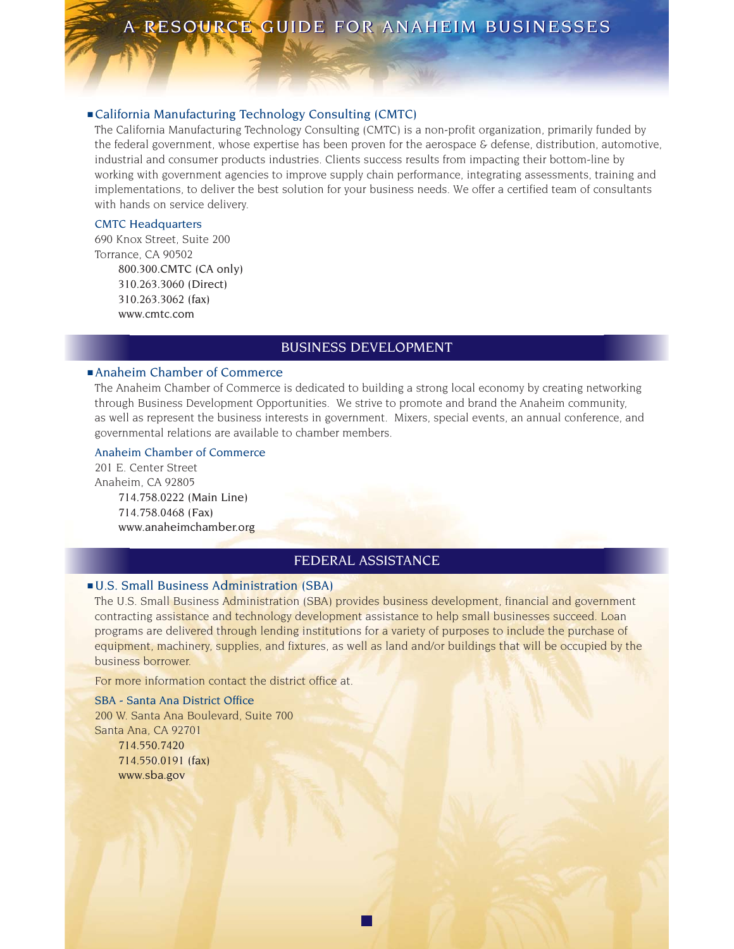#### ■ California Manufacturing Technology Consulting (CMTC)

The California Manufacturing Technology Consulting (CMTC) is a non-profit organization, primarily funded by the federal government, whose expertise has been proven for the aerospace & defense, distribution, automotive, industrial and consumer products industries. Clients success results from impacting their bottom-line by working with government agencies to improve supply chain performance, integrating assessments, training and implementations, to deliver the best solution for your business needs. We offer a certified team of consultants with hands on service delivery.

#### CMTC Headquarters

690 Knox Street, Suite 200 Torrance, CA 90502 800.300.CMTC (CA only) 310.263.3060 (Direct) 310.263.3062 (fax) www.cmtc.com

# BUSINESS DEVELOPMENT

# ■ Anaheim Chamber of Commerce

The Anaheim Chamber of Commerce is dedicated to building a strong local economy by creating networking through Business Development Opportunities. We strive to promote and brand the Anaheim community, as well as represent the business interests in government. Mixers, special events, an annual conference, and governmental relations are available to chamber members.

#### Anaheim Chamber of Commerce

201 E. Center Street Anaheim, CA 92805 714.758.0222 (Main Line) 714.758.0468 (Fax) www.anaheimchamber.org

# FEDERAL ASSISTANCE

# ■ U.S. Small Business Administration (SBA)

The U.S. Small Business Administration (SBA) provides business development, financial and government contracting assistance and technology development assistance to help small businesses succeed. Loan programs are delivered through lending institutions for a variety of purposes to include the purchase of equipment, machinery, supplies, and fixtures, as well as land and/or buildings that will be occupied by the business borrower.

For more information contact the district office at.

SBA - Santa Ana District Office 200 W. Santa Ana Boulevard, Suite 700 Santa Ana, CA 92701 714.550.7420 714.550.0191 (fax) www.sba.gov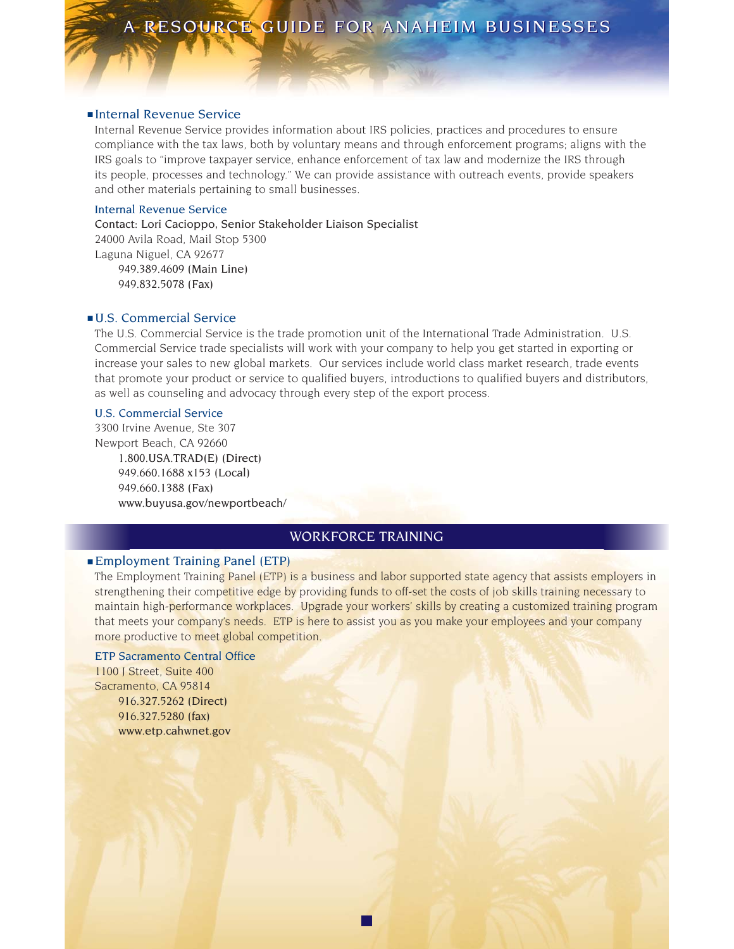#### ■ Internal Revenue Service

Internal Revenue Service provides information about IRS policies, practices and procedures to ensure compliance with the tax laws, both by voluntary means and through enforcement programs; aligns with the IRS goals to "improve taxpayer service, enhance enforcement of tax law and modernize the IRS through its people, processes and technology." We can provide assistance with outreach events, provide speakers and other materials pertaining to small businesses.

#### Internal Revenue Service

Contact: Lori Cacioppo, Senior Stakeholder Liaison Specialist 24000 Avila Road, Mail Stop 5300 Laguna Niguel, CA 92677 949.389.4609 (Main Line) 949.832.5078 (Fax)

#### ■ U.S. Commercial Service

The U.S. Commercial Service is the trade promotion unit of the International Trade Administration. U.S. Commercial Service trade specialists will work with your company to help you get started in exporting or increase your sales to new global markets. Our services include world class market research, trade events that promote your product or service to qualified buyers, introductions to qualified buyers and distributors, as well as counseling and advocacy through every step of the export process.

#### U.S. Commercial Service

3300 Irvine Avenue, Ste 307 Newport Beach, CA 92660 1.800.USA.TRAD(E) (Direct) 949.660.1688 x153 (Local) 949.660.1388 (Fax) www.buyusa.gov/newportbeach/

# WORKFORCE TRAINING

# ■ Employment Training Panel (ETP)

The Employment Training Panel (ETP) is a business and labor supported state agency that assists employers in strengthening their competitive edge by providing funds to off-set the costs of job skills training necessary to maintain high-performance workplaces. Upgrade your workers' skills by creating a customized training program that meets your company's needs. ETP is here to assist you as you make your employees and your company more productive to meet global competition.

# ETP Sacramento Central Office

1100 J Street, Suite 400 Sacramento, CA 95814 916.327.5262 (Direct) 916.327.5280 (fax) www.etp.cahwnet.gov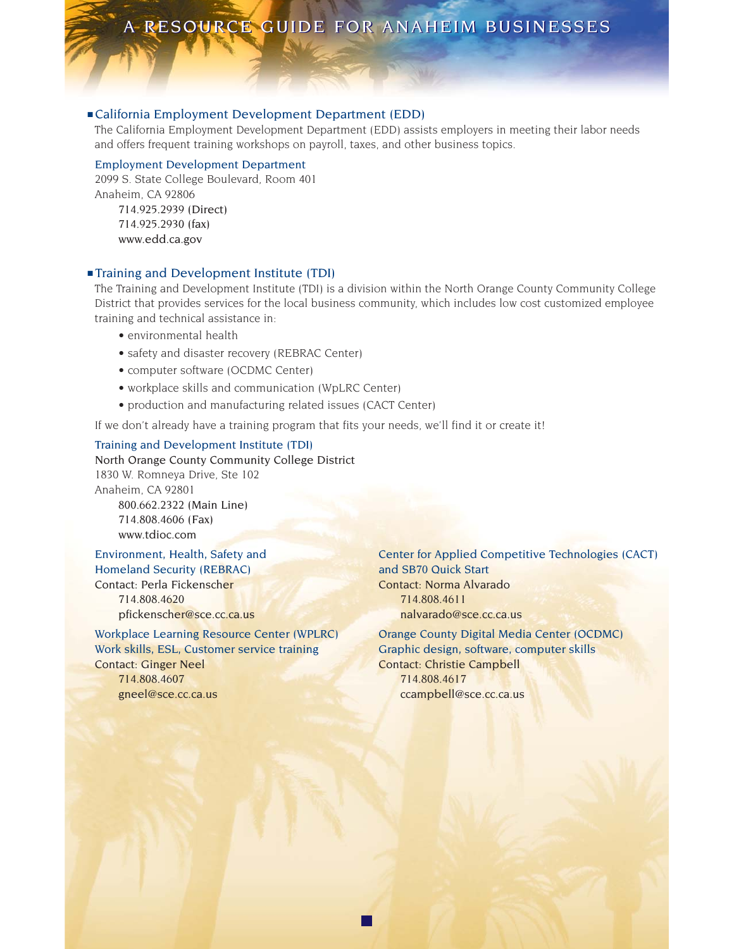# ■ California Employment Development Department (EDD)

The California Employment Development Department (EDD) assists employers in meeting their labor needs and offers frequent training workshops on payroll, taxes, and other business topics.

#### Employment Development Department

2099 S. State College Boulevard, Room 401 Anaheim, CA 92806 714.925.2939 (Direct) 714.925.2930 (fax) www.edd.ca.gov

# ■ Training and Development Institute (TDI)

The Training and Development Institute (TDI) is a division within the North Orange County Community College District that provides services for the local business community, which includes low cost customized employee training and technical assistance in:

- environmental health
- safety and disaster recovery (REBRAC Center)
- computer software (OCDMC Center)
- workplace skills and communication (WpLRC Center)
- production and manufacturing related issues (CACT Center)

If we don't already have a training program that fits your needs, we'll find it or create it!

#### Training and Development Institute (TDI)

North Orange County Community College District 1830 W. Romneya Drive, Ste 102 Anaheim, CA 92801 800.662.2322 (Main Line) 714.808.4606 (Fax) www.tdioc.com

Homeland Security (REBRAC) and SB70 Quick Start Contact: Perla Fickenscher Contact: Norma Alvarado 714.808.4620 714.808.4611

Work skills, ESL, Customer service training Graphic design, software, computer skills **Contact: Ginger Neel Contact: Christie Campbell** 714.808.4607 714.808.4617 gneel@sce.cc.ca.us ccampbell@sce.cc.ca.us

Environment, Health, Safety and Center for Applied Competitive Technologies (CACT) pfickenscher@sce.cc.ca.us nalvarado@sce.cc.ca.us

Workplace Learning Resource Center (WPLRC) Orange County Digital Media Center (OCDMC)